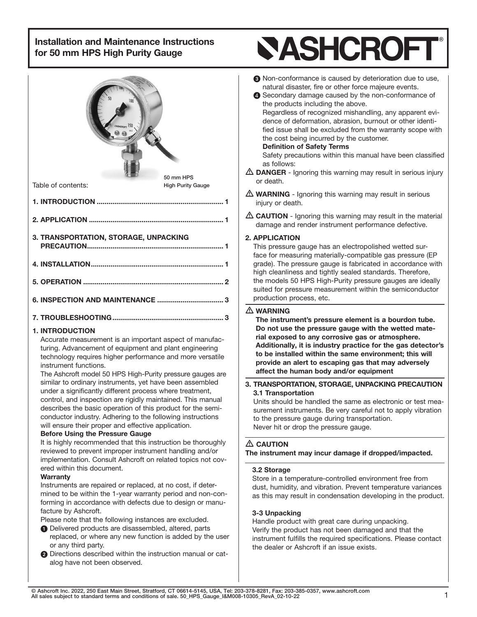| 100<br>50 mm HPS                                                                                                                                                                                                                                                                                                                                                                                                                                                                                                                                                                                                                                                                                                    | <b>8</b> N<br>n<br>4 S<br>th<br>R<br>d<br>fie<br>th<br>D<br>S<br>as<br>$\triangle$ DAI          |
|---------------------------------------------------------------------------------------------------------------------------------------------------------------------------------------------------------------------------------------------------------------------------------------------------------------------------------------------------------------------------------------------------------------------------------------------------------------------------------------------------------------------------------------------------------------------------------------------------------------------------------------------------------------------------------------------------------------------|-------------------------------------------------------------------------------------------------|
| Table of contents:<br><b>High Purity Gauge</b>                                                                                                                                                                                                                                                                                                                                                                                                                                                                                                                                                                                                                                                                      | or d                                                                                            |
|                                                                                                                                                                                                                                                                                                                                                                                                                                                                                                                                                                                                                                                                                                                     | $\triangle$ WA<br>injur                                                                         |
|                                                                                                                                                                                                                                                                                                                                                                                                                                                                                                                                                                                                                                                                                                                     | $\triangle$ CAl<br>dan                                                                          |
| 3. TRANSPORTATION, STORAGE, UNPACKING                                                                                                                                                                                                                                                                                                                                                                                                                                                                                                                                                                                                                                                                               | 2. APP<br>This<br>face<br>grad<br>high                                                          |
|                                                                                                                                                                                                                                                                                                                                                                                                                                                                                                                                                                                                                                                                                                                     | the r                                                                                           |
|                                                                                                                                                                                                                                                                                                                                                                                                                                                                                                                                                                                                                                                                                                                     | suite<br>prod                                                                                   |
|                                                                                                                                                                                                                                                                                                                                                                                                                                                                                                                                                                                                                                                                                                                     | $\triangle$ WA<br>The                                                                           |
| <b>1. INTRODUCTION</b><br>Accurate measurement is an important aspect of manufac-<br>turing. Advancement of equipment and plant engineering<br>technology requires higher performance and more versatile<br>instrument functions.<br>The Ashcroft model 50 HPS High-Purity pressure gauges are<br>similar to ordinary instruments, yet have been assembled<br>under a significantly different process where treatment,<br>control, and inspection are rigidly maintained. This manual<br>describes the basic operation of this product for the semi-<br>conductor industry. Adhering to the following instructions<br>will ensure their proper and effective application.<br><b>Before Using the Pressure Gauge</b> | Do⊣<br>rial<br>Adc<br>to b<br>pro<br>affe<br>3. TRA<br>3.1 T<br>Units<br>surer<br>to th<br>Neve |
| It is highly recommended that this instruction be thoroughly<br>reviewed to prevent improper instrument handling and/or<br>implementation. Consult Ashcroft on related topics not cov-                                                                                                                                                                                                                                                                                                                                                                                                                                                                                                                              | $\triangle$ CAI<br>The ins                                                                      |
| ered within this document.<br><b>Warranty</b><br>Instruments are repaired or replaced, at no cost, if deter-<br>mined to be within the 1-year warranty period and non-con-<br>forming in accordance with defects due to design or manu-<br>facture by Ashcroft.<br>Please note that the following instances are excluded.<br><b>O</b> Delivered products are disassembled, altered, parts<br>replaced, or where any new function is added by the user<br>or any third party.                                                                                                                                                                                                                                        | 3.2 <sub>S</sub><br>Store<br>dust,<br>as th<br>3-3 l<br>Hanc<br>Verify<br>instru<br>the d       |

# **SASHCROF**

- on-conformance is caused by deterioration due to use, atural disaster, fire or other force majeure events.
- econdary damage caused by the non-conformance of e products including the above. egardless of recognized mishandling, any apparent evience of deformation, abrasion, burnout or other identied issue shall be excluded from the warranty scope with e cost being incurred by the customer. efinition of Safety Terms afety precautions within this manual have been classified s follows:
- **NGER** Ignoring this warning may result in serious injury eath.
- RNING Ignoring this warning may result in serious y or death.
- **JTION** Ignoring this warning may result in the material hage and render instrument performance defective.

# LICATION

pressure gauge has an electropolished wetted surfor measuring materially-compatible gas pressure (EP e). The pressure gauge is fabricated in accordance with cleanliness and tightly sealed standards. Therefore, nodels 50 HPS High-Purity pressure gauges are ideally d for pressure measurement within the semiconductor uction process, etc.

## RNING

instrument's pressure element is a bourdon tube. not use the pressure gauge with the wetted mateexposed to any corrosive gas or atmosphere. litionally, it is industry practice for the gas detector's e installed within the same environment; this will vide an alert to escaping gas that may adversely ct the human body and/or equipment

# NSPORTATION, STORAGE, UNPACKING PRECAUTION **Transportation**

s should be handled the same as electronic or test meanent instruments. Be very careful not to apply vibration e pressure gauge during transportation. er hit or drop the pressure gauge.

# **ITION**

strument may incur damage if dropped/impacted.

## torage

in a temperature-controlled environment free from humidity, and vibration. Prevent temperature variances is may result in condensation developing in the product.

## **Jnpacking**

lle product with great care during unpacking.  $v$  the product has not been damaged and that the iment fulfills the required specifications. Please contact lealer or Ashcroft if an issue exists.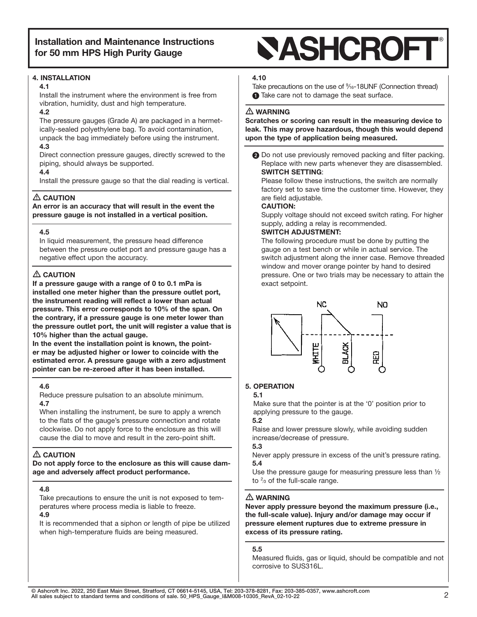#### 4. INSTALLATION

#### 4.1

Install the instrument where the environment is free from vibration, humidity, dust and high temperature.

#### 4.2

The pressure gauges (Grade A) are packaged in a hermetically-sealed polyethylene bag. To avoid contamination, unpack the bag immediately before using the instrument.

#### 4.3

Direct connection pressure gauges, directly screwed to the piping, should always be supported.

#### 4.4

Install the pressure gauge so that the dial reading is vertical.

## $\triangle$  CAUTION

An error is an accuracy that will result in the event the pressure gauge is not installed in a vertical position.

#### 4.5

In liquid measurement, the pressure head difference between the pressure outlet port and pressure gauge has a negative effect upon the accuracy.

## $\triangle$  CAUTION

If a pressure gauge with a range of 0 to 0.1 mPa is installed one meter higher than the pressure outlet port, the instrument reading will reflect a lower than actual pressure. This error corresponds to 10% of the span. On the contrary, if a pressure gauge is one meter lower than the pressure outlet port, the unit will register a value that is 10% higher than the actual gauge.

In the event the installation point is known, the pointer may be adjusted higher or lower to coincide with the estimated error. A pressure gauge with a zero adjustment pointer can be re-zeroed after it has been installed.

#### 4.6

Reduce pressure pulsation to an absolute minimum.

#### 4.7

When installing the instrument, be sure to apply a wrench to the flats of the gauge's pressure connection and rotate clockwise. Do not apply force to the enclosure as this will cause the dial to move and result in the zero-point shift.

## $\triangle$  CAUTION

Do not apply force to the enclosure as this will cause damage and adversely affect product performance.

#### 4.8

Take precautions to ensure the unit is not exposed to temperatures where process media is liable to freeze.

#### 4.9

It is recommended that a siphon or length of pipe be utilized when high-temperature fluids are being measured.

# **SASHCROFT**

#### 4.10

Take precautions on the use of  $\frac{9}{16}$ -18UNF (Connection thread) **1** Take care not to damage the seat surface.

#### $\triangle$  WARNING

Scratches or scoring can result in the measuring device to leak. This may prove hazardous, though this would depend upon the type of application being measured.

**2** Do not use previously removed packing and filter packing. Replace with new parts whenever they are disassembled. SWITCH SETTING:

Please follow these instructions, the switch are normally factory set to save time the customer time. However, they are field adjustable.

#### CAUTION:

Supply voltage should not exceed switch rating. For higher supply, adding a relay is recommended.

#### SWITCH ADJUSTMENT:

The following procedure must be done by putting the gauge on a test bench or while in actual service. The switch adjustment along the inner case. Remove threaded window and mover orange pointer by hand to desired pressure. One or two trials may be necessary to attain the exact setpoint.



## 5. OPERATION

5.1 Make sure that the pointer is at the '0' position prior to

applying pressure to the gauge.

5.2

Raise and lower pressure slowly, while avoiding sudden increase/decrease of pressure.

#### 5.3

Never apply pressure in excess of the unit's pressure rating. 5.4

Use the pressure gauge for measuring pressure less than ½ to  $\frac{2}{3}$  of the full-scale range.

#### $\triangle$  WARNING

Never apply pressure beyond the maximum pressure (i.e., the full-scale value). Injury and/or damage may occur if pressure element ruptures due to extreme pressure in excess of its pressure rating.

#### 5.5

Measured fluids, gas or liquid, should be compatible and not corrosive to SUS316L.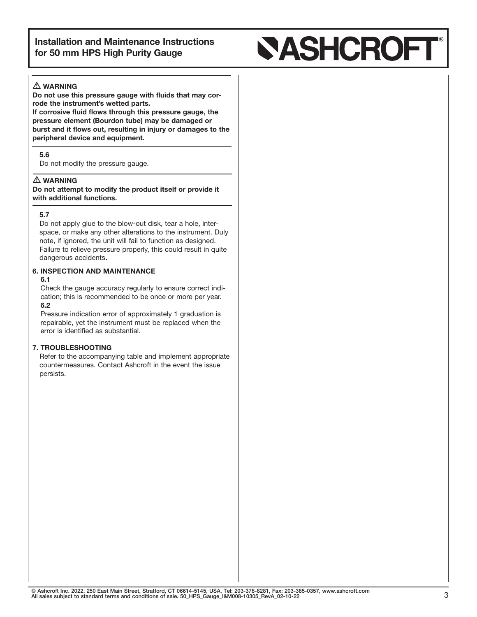# **SASHCROFT**

### $\triangle$  WARNING

Do not use this pressure gauge with fluids that may corrode the instrument's wetted parts.

If corrosive fluid flows through this pressure gauge, the pressure element (Bourdon tube) may be damaged or burst and it flows out, resulting in injury or damages to the peripheral device and equipment.

#### 5.6

Do not modify the pressure gauge.

#### $\triangle$  warning

Do not attempt to modify the product itself or provide it with additional functions.

#### 5.7

Do not apply glue to the blow-out disk, tear a hole, interspace, or make any other alterations to the instrument. Duly note, if ignored, the unit will fail to function as designed. Failure to relieve pressure properly, this could result in quite dangerous accidents.

#### 6. INSPECTION AND MAINTENANCE

#### 6.1

Check the gauge accuracy regularly to ensure correct indication; this is recommended to be once or more per year. 6.2

Pressure indication error of approximately 1 graduation is repairable, yet the instrument must be replaced when the error is identified as substantial.

#### 7. TROUBLESHOOTING

 Refer to the accompanying table and implement appropriate countermeasures. Contact Ashcroft in the event the issue persists.